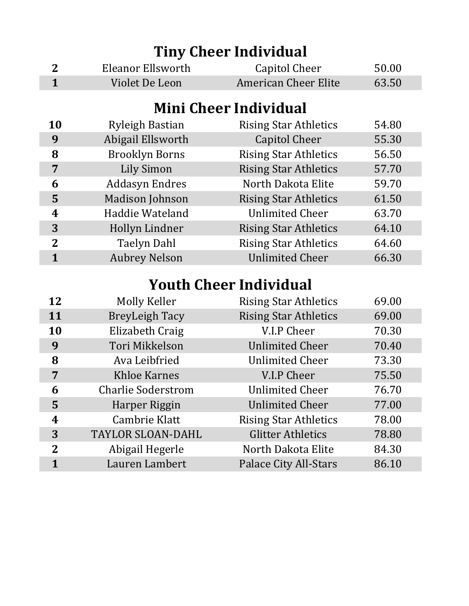| <b>Tiny Cheer Individual</b> |                           |                               |       |  |
|------------------------------|---------------------------|-------------------------------|-------|--|
| $\overline{2}$               | Eleanor Ellsworth         | Capitol Cheer                 | 50.00 |  |
| $\mathbf{1}$                 | Violet De Leon            | <b>American Cheer Elite</b>   | 63.50 |  |
|                              |                           |                               |       |  |
|                              |                           | <b>Mini Cheer Individual</b>  |       |  |
| 10                           | <b>Ryleigh Bastian</b>    | <b>Rising Star Athletics</b>  | 54.80 |  |
| 9                            | Abigail Ellsworth         | <b>Capitol Cheer</b>          | 55.30 |  |
| 8                            | <b>Brooklyn Borns</b>     | <b>Rising Star Athletics</b>  | 56.50 |  |
| 7                            | <b>Lily Simon</b>         | <b>Rising Star Athletics</b>  | 57.70 |  |
| 6                            | <b>Addasyn Endres</b>     | North Dakota Elite            | 59.70 |  |
| 5                            | <b>Madison Johnson</b>    | <b>Rising Star Athletics</b>  | 61.50 |  |
| 4                            | Haddie Wateland           | <b>Unlimited Cheer</b>        | 63.70 |  |
| 3                            | Hollyn Lindner            | <b>Rising Star Athletics</b>  | 64.10 |  |
| $\overline{2}$               | <b>Taelyn Dahl</b>        | <b>Rising Star Athletics</b>  | 64.60 |  |
| $\mathbf{1}$                 | <b>Aubrey Nelson</b>      | <b>Unlimited Cheer</b>        | 66.30 |  |
|                              |                           | <b>Youth Cheer Individual</b> |       |  |
| 12                           | Molly Keller              | <b>Rising Star Athletics</b>  | 69.00 |  |
| 11                           | <b>BreyLeigh Tacy</b>     | <b>Rising Star Athletics</b>  | 69.00 |  |
| 10                           | Elizabeth Craig           | V.I.P Cheer                   | 70.30 |  |
| 9                            | Tori Mikkelson            | <b>Unlimited Cheer</b>        | 70.40 |  |
| 8                            | Ava Leibfried             | <b>Unlimited Cheer</b>        | 73.30 |  |
| 7                            | <b>Khloe Karnes</b>       | V.I.P Cheer                   | 75.50 |  |
| 6                            | <b>Charlie Soderstrom</b> | <b>Unlimited Cheer</b>        | 76.70 |  |
| 5                            | Harper Riggin             | <b>Unlimited Cheer</b>        | 77.00 |  |
| 4                            | <b>Cambrie Klatt</b>      | <b>Rising Star Athletics</b>  | 78.00 |  |
| 3                            | <b>TAYLOR SLOAN-DAHL</b>  | <b>Glitter Athletics</b>      | 78.80 |  |
| $\mathbf{2}$                 | Abigail Hegerle           | North Dakota Elite            | 84.30 |  |
| $\mathbf{1}$                 | Lauren Lambert            | Palace City All-Stars         | 86.10 |  |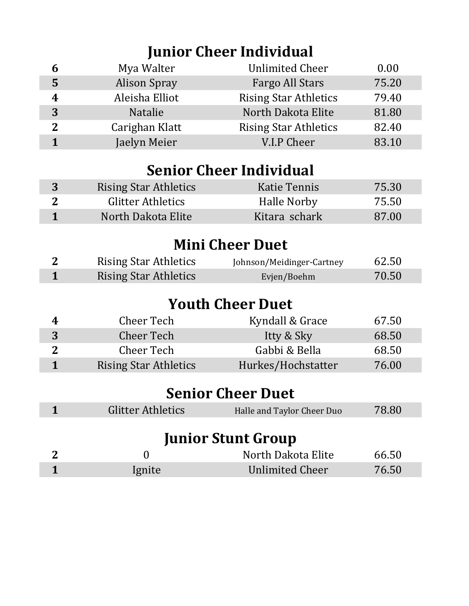## **Junior Cheer Individual**

| 6            | Mya Walter          | <b>Unlimited Cheer</b>       | 0.00  |
|--------------|---------------------|------------------------------|-------|
| 5            | <b>Alison Spray</b> | <b>Fargo All Stars</b>       | 75.20 |
| 4            | Aleisha Elliot      | <b>Rising Star Athletics</b> | 79.40 |
| 3            | Natalie             | North Dakota Elite           | 81.80 |
| $\mathbf{2}$ | Carighan Klatt      | <b>Rising Star Athletics</b> | 82.40 |
|              | Jaelyn Meier        | V.I.P Cheer                  | 83.10 |

#### **Senior Cheer Individual**

| <b>Rising Star Athletics</b> | Katie Tennis  | 75.30 |
|------------------------------|---------------|-------|
| <b>Glitter Athletics</b>     | Halle Norby   | 75.50 |
| North Dakota Elite           | Kitara schark | 87.00 |

#### **Mini Cheer Duet**

| <b>Rising Star Athletics</b> | Johnson/Meidinger-Cartney | 62.50 |
|------------------------------|---------------------------|-------|
| <b>Rising Star Athletics</b> | Evjen/Boehm               | 70.50 |

#### **Youth Cheer Duet**

| 4 | Cheer Tech                   | Kyndall & Grace    | 67.50 |
|---|------------------------------|--------------------|-------|
| 3 | Cheer Tech                   | Itty & Sky         | 68.50 |
|   | Cheer Tech                   | Gabbi & Bella      | 68.50 |
|   | <b>Rising Star Athletics</b> | Hurkes/Hochstatter | 76.00 |

#### **Senior Cheer Duet**

| Glitter Athletics | Halle and Taylor Cheer Duo | 78.80 |
|-------------------|----------------------------|-------|
|                   |                            |       |

#### **Junior Stunt Group**

|        | North Dakota Elite | 66.50 |
|--------|--------------------|-------|
| Ignite | Unlimited Cheer    | 76.50 |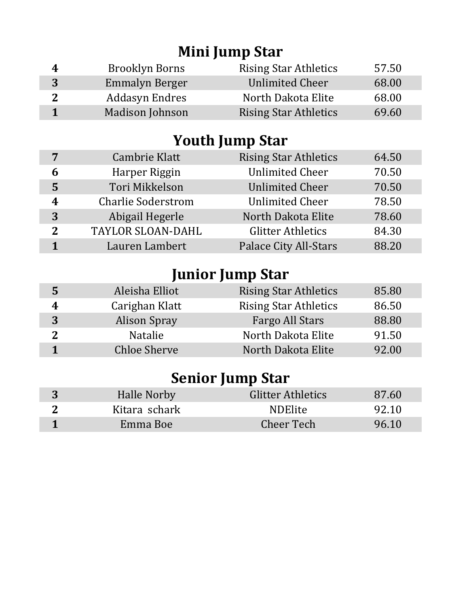## **Mini Jump Star**

| 4 | Brooklyn Borns         | <b>Rising Star Athletics</b> | 57.50 |
|---|------------------------|------------------------------|-------|
| 3 | Emmalyn Berger         | <b>Unlimited Cheer</b>       | 68.00 |
|   | Addasyn Endres         | North Dakota Elite           | 68.00 |
|   | <b>Madison Johnson</b> | <b>Rising Star Athletics</b> | 69.60 |

## **Youth Jump Star**

| 7            | Cambrie Klatt             | <b>Rising Star Athletics</b> | 64.50 |
|--------------|---------------------------|------------------------------|-------|
| 6            | Harper Riggin             | <b>Unlimited Cheer</b>       | 70.50 |
| 5            | Tori Mikkelson            | <b>Unlimited Cheer</b>       | 70.50 |
| 4            | <b>Charlie Soderstrom</b> | <b>Unlimited Cheer</b>       | 78.50 |
| 3            | Abigail Hegerle           | North Dakota Elite           | 78.60 |
| $\mathbf{Z}$ | <b>TAYLOR SLOAN-DAHL</b>  | <b>Glitter Athletics</b>     | 84.30 |
|              | Lauren Lambert            | <b>Palace City All-Stars</b> | 88.20 |

## **Junior Jump Star**

| 5 | Aleisha Elliot      | <b>Rising Star Athletics</b> | 85.80 |
|---|---------------------|------------------------------|-------|
| 4 | Carighan Klatt      | <b>Rising Star Athletics</b> | 86.50 |
| 3 | <b>Alison Spray</b> | Fargo All Stars              | 88.80 |
| ? | <b>Natalie</b>      | North Dakota Elite           | 91.50 |
|   | <b>Chloe Sherve</b> | North Dakota Elite           | 92.00 |
|   |                     |                              |       |

## **Senior Jump Star**

| Halle Norby   | <b>Glitter Athletics</b> | 87.60 |
|---------------|--------------------------|-------|
| Kitara schark | <b>NDElite</b>           | 92.10 |
| Emma Boe      | Cheer Tech               | 96.10 |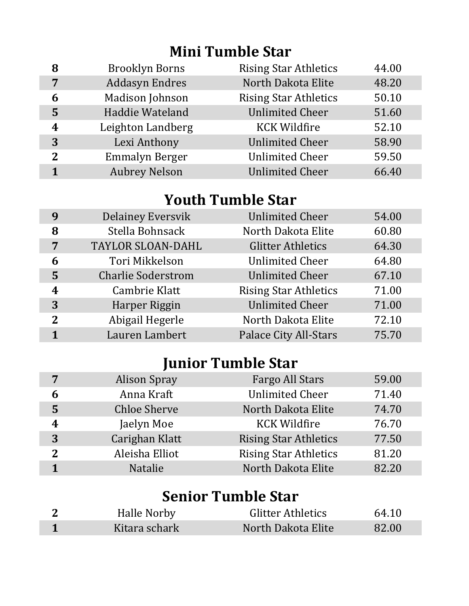## **Mini Tumble Star**

| 8              | <b>Brooklyn Borns</b> | <b>Rising Star Athletics</b> | 44.00 |
|----------------|-----------------------|------------------------------|-------|
| 7              | Addasyn Endres        | North Dakota Elite           | 48.20 |
| 6              | Madison Johnson       | <b>Rising Star Athletics</b> | 50.10 |
| 5              | Haddie Wateland       | <b>Unlimited Cheer</b>       | 51.60 |
| 4              | Leighton Landberg     | <b>KCK Wildfire</b>          | 52.10 |
| 3              | Lexi Anthony          | <b>Unlimited Cheer</b>       | 58.90 |
| $\overline{2}$ | <b>Emmalyn Berger</b> | <b>Unlimited Cheer</b>       | 59.50 |
|                | <b>Aubrey Nelson</b>  | <b>Unlimited Cheer</b>       | 66.40 |

#### **Youth Tumble Star**

| 9              | <b>Delainey Eversvik</b>  | <b>Unlimited Cheer</b>       | 54.00 |
|----------------|---------------------------|------------------------------|-------|
| 8              | Stella Bohnsack           | North Dakota Elite           | 60.80 |
| 7              | <b>TAYLOR SLOAN-DAHL</b>  | <b>Glitter Athletics</b>     | 64.30 |
| 6              | Tori Mikkelson            | <b>Unlimited Cheer</b>       | 64.80 |
| 5              | <b>Charlie Soderstrom</b> | <b>Unlimited Cheer</b>       | 67.10 |
| 4              | Cambrie Klatt             | <b>Rising Star Athletics</b> | 71.00 |
| 3              | Harper Riggin             | <b>Unlimited Cheer</b>       | 71.00 |
| $\overline{2}$ | Abigail Hegerle           | North Dakota Elite           | 72.10 |
|                | Lauren Lambert            | <b>Palace City All-Stars</b> | 75.70 |

# **Junior Tumble Star**

| 7              | <b>Alison Spray</b> | Fargo All Stars              | 59.00 |
|----------------|---------------------|------------------------------|-------|
| 6              | Anna Kraft          | <b>Unlimited Cheer</b>       | 71.40 |
| 5              | <b>Chloe Sherve</b> | North Dakota Elite           | 74.70 |
| 4              | Jaelyn Moe          | <b>KCK Wildfire</b>          | 76.70 |
| 3              | Carighan Klatt      | <b>Rising Star Athletics</b> | 77.50 |
| $\overline{2}$ | Aleisha Elliot      | <b>Rising Star Athletics</b> | 81.20 |
|                | Natalie             | North Dakota Elite           | 82.20 |

| <b>Senior Tumble Star</b> |               |                          |       |  |  |
|---------------------------|---------------|--------------------------|-------|--|--|
|                           | Halle Norby   | <b>Glitter Athletics</b> | 64.10 |  |  |
|                           | Kitara schark | North Dakota Elite       | 82.00 |  |  |